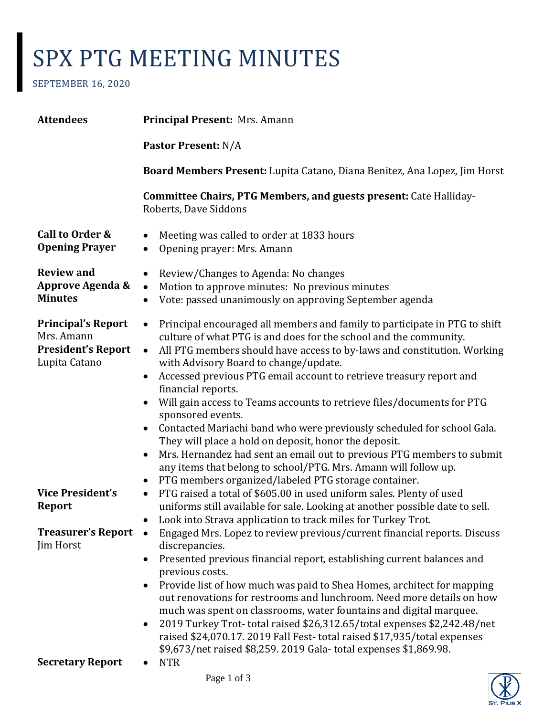## SPX PTG MEETING MINUTES

SEPTEMBER 16, 2020

| <b>Attendees</b>                                                                      | Principal Present: Mrs. Amann                                                                                                                                                                                                                                                                                                                                                                                                                                                                                                                                                                                                                                                                                                                                                                                                                                            |
|---------------------------------------------------------------------------------------|--------------------------------------------------------------------------------------------------------------------------------------------------------------------------------------------------------------------------------------------------------------------------------------------------------------------------------------------------------------------------------------------------------------------------------------------------------------------------------------------------------------------------------------------------------------------------------------------------------------------------------------------------------------------------------------------------------------------------------------------------------------------------------------------------------------------------------------------------------------------------|
|                                                                                       | <b>Pastor Present: N/A</b>                                                                                                                                                                                                                                                                                                                                                                                                                                                                                                                                                                                                                                                                                                                                                                                                                                               |
|                                                                                       | Board Members Present: Lupita Catano, Diana Benitez, Ana Lopez, Jim Horst                                                                                                                                                                                                                                                                                                                                                                                                                                                                                                                                                                                                                                                                                                                                                                                                |
|                                                                                       | <b>Committee Chairs, PTG Members, and guests present: Cate Halliday-</b><br>Roberts, Dave Siddons                                                                                                                                                                                                                                                                                                                                                                                                                                                                                                                                                                                                                                                                                                                                                                        |
| Call to Order &<br><b>Opening Prayer</b>                                              | Meeting was called to order at 1833 hours<br>$\bullet$<br>Opening prayer: Mrs. Amann<br>$\bullet$                                                                                                                                                                                                                                                                                                                                                                                                                                                                                                                                                                                                                                                                                                                                                                        |
| <b>Review and</b><br>Approve Agenda &<br><b>Minutes</b>                               | Review/Changes to Agenda: No changes<br>$\bullet$<br>Motion to approve minutes: No previous minutes<br>$\bullet$<br>Vote: passed unanimously on approving September agenda<br>$\bullet$                                                                                                                                                                                                                                                                                                                                                                                                                                                                                                                                                                                                                                                                                  |
| <b>Principal's Report</b><br>Mrs. Amann<br><b>President's Report</b><br>Lupita Catano | Principal encouraged all members and family to participate in PTG to shift<br>$\bullet$<br>culture of what PTG is and does for the school and the community.<br>All PTG members should have access to by-laws and constitution. Working<br>$\bullet$<br>with Advisory Board to change/update.<br>Accessed previous PTG email account to retrieve treasury report and<br>$\bullet$<br>financial reports.<br>Will gain access to Teams accounts to retrieve files/documents for PTG<br>sponsored events.<br>Contacted Mariachi band who were previously scheduled for school Gala.<br>They will place a hold on deposit, honor the deposit.<br>Mrs. Hernandez had sent an email out to previous PTG members to submit<br>$\bullet$<br>any items that belong to school/PTG. Mrs. Amann will follow up.<br>PTG members organized/labeled PTG storage container.<br>$\bullet$ |
| <b>Vice President's</b><br>Report<br><b>Treasurer's Report</b>                        | PTG raised a total of \$605.00 in used uniform sales. Plenty of used<br>$\bullet$<br>uniforms still available for sale. Looking at another possible date to sell.<br>Look into Strava application to track miles for Turkey Trot.<br>$\bullet$<br>Engaged Mrs. Lopez to review previous/current financial reports. Discuss<br>$\bullet$                                                                                                                                                                                                                                                                                                                                                                                                                                                                                                                                  |
| Jim Horst<br><b>Secretary Report</b>                                                  | discrepancies.<br>Presented previous financial report, establishing current balances and<br>$\bullet$<br>previous costs.<br>Provide list of how much was paid to Shea Homes, architect for mapping<br>$\bullet$<br>out renovations for restrooms and lunchroom. Need more details on how<br>much was spent on classrooms, water fountains and digital marquee.<br>2019 Turkey Trot-total raised \$26,312.65/total expenses \$2,242.48/net<br>$\bullet$<br>raised \$24,070.17. 2019 Fall Fest-total raised \$17,935/total expenses<br>\$9,673/net raised \$8,259. 2019 Gala-total expenses \$1,869.98.<br><b>NTR</b>                                                                                                                                                                                                                                                      |
|                                                                                       |                                                                                                                                                                                                                                                                                                                                                                                                                                                                                                                                                                                                                                                                                                                                                                                                                                                                          |

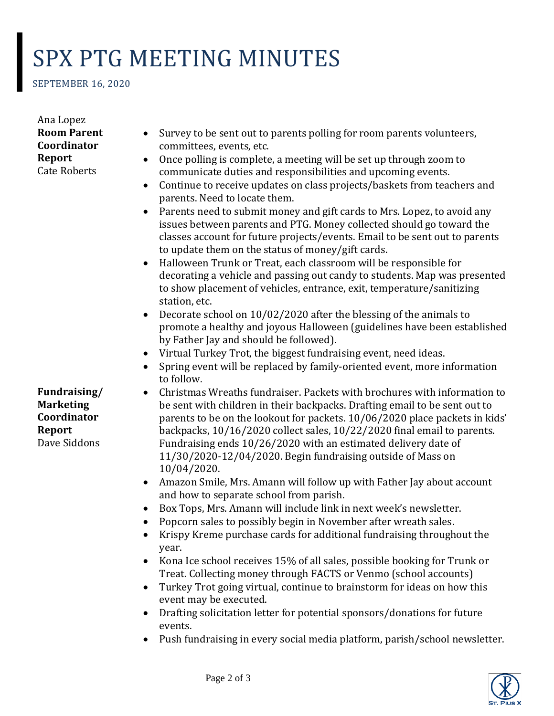## SPX PTG MEETING MINUTES

SEPTEMBER 16, 2020

Ana Lopez **Room Parent Coordinator Report** Cate Roberts

**Fundraising/ Marketing Coordinator Report** Dave Siddons

- Survey to be sent out to parents polling for room parents volunteers, committees, events, etc.
- Once polling is complete, a meeting will be set up through zoom to communicate duties and responsibilities and upcoming events.
- Continue to receive updates on class projects/baskets from teachers and parents. Need to locate them.
- Parents need to submit money and gift cards to Mrs. Lopez, to avoid any issues between parents and PTG. Money collected should go toward the classes account for future projects/events. Email to be sent out to parents to update them on the status of money/gift cards.
- Halloween Trunk or Treat, each classroom will be responsible for decorating a vehicle and passing out candy to students. Map was presented to show placement of vehicles, entrance, exit, temperature/sanitizing station, etc.
- Decorate school on 10/02/2020 after the blessing of the animals to promote a healthy and joyous Halloween (guidelines have been established by Father Jay and should be followed).
- Virtual Turkey Trot, the biggest fundraising event, need ideas.
- Spring event will be replaced by family-oriented event, more information to follow.
- Christmas Wreaths fundraiser. Packets with brochures with information to be sent with children in their backpacks. Drafting email to be sent out to parents to be on the lookout for packets. 10/06/2020 place packets in kids' backpacks, 10/16/2020 collect sales, 10/22/2020 final email to parents. Fundraising ends 10/26/2020 with an estimated delivery date of 11/30/2020-12/04/2020. Begin fundraising outside of Mass on 10/04/2020.
- Amazon Smile, Mrs. Amann will follow up with Father Jay about account and how to separate school from parish.
- Box Tops, Mrs. Amann will include link in next week's newsletter.
- Popcorn sales to possibly begin in November after wreath sales.
- Krispy Kreme purchase cards for additional fundraising throughout the year.
- Kona Ice school receives 15% of all sales, possible booking for Trunk or Treat. Collecting money through FACTS or Venmo (school accounts)
- Turkey Trot going virtual, continue to brainstorm for ideas on how this event may be executed.
- Drafting solicitation letter for potential sponsors/donations for future events.
- Push fundraising in every social media platform, parish/school newsletter.